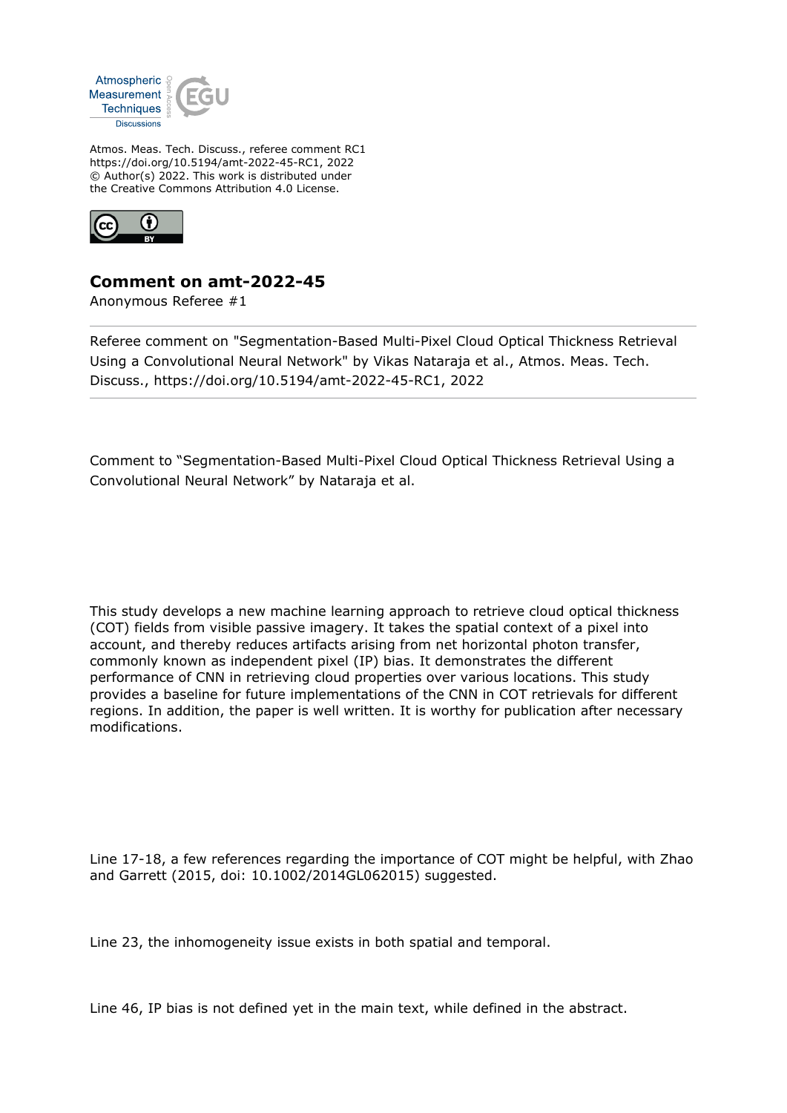

Atmos. Meas. Tech. Discuss., referee comment RC1 https://doi.org/10.5194/amt-2022-45-RC1, 2022 © Author(s) 2022. This work is distributed under the Creative Commons Attribution 4.0 License.



## **Comment on amt-2022-45**

Anonymous Referee #1

Referee comment on "Segmentation-Based Multi-Pixel Cloud Optical Thickness Retrieval Using a Convolutional Neural Network" by Vikas Nataraja et al., Atmos. Meas. Tech. Discuss., https://doi.org/10.5194/amt-2022-45-RC1, 2022

Comment to "Segmentation-Based Multi-Pixel Cloud Optical Thickness Retrieval Using a Convolutional Neural Network" by Nataraja et al.

This study develops a new machine learning approach to retrieve cloud optical thickness (COT) fields from visible passive imagery. It takes the spatial context of a pixel into account, and thereby reduces artifacts arising from net horizontal photon transfer, commonly known as independent pixel (IP) bias. It demonstrates the different performance of CNN in retrieving cloud properties over various locations. This study provides a baseline for future implementations of the CNN in COT retrievals for different regions. In addition, the paper is well written. It is worthy for publication after necessary modifications.

Line 17-18, a few references regarding the importance of COT might be helpful, with Zhao and Garrett (2015, doi: 10.1002/2014GL062015) suggested.

Line 23, the inhomogeneity issue exists in both spatial and temporal.

Line 46, IP bias is not defined yet in the main text, while defined in the abstract.